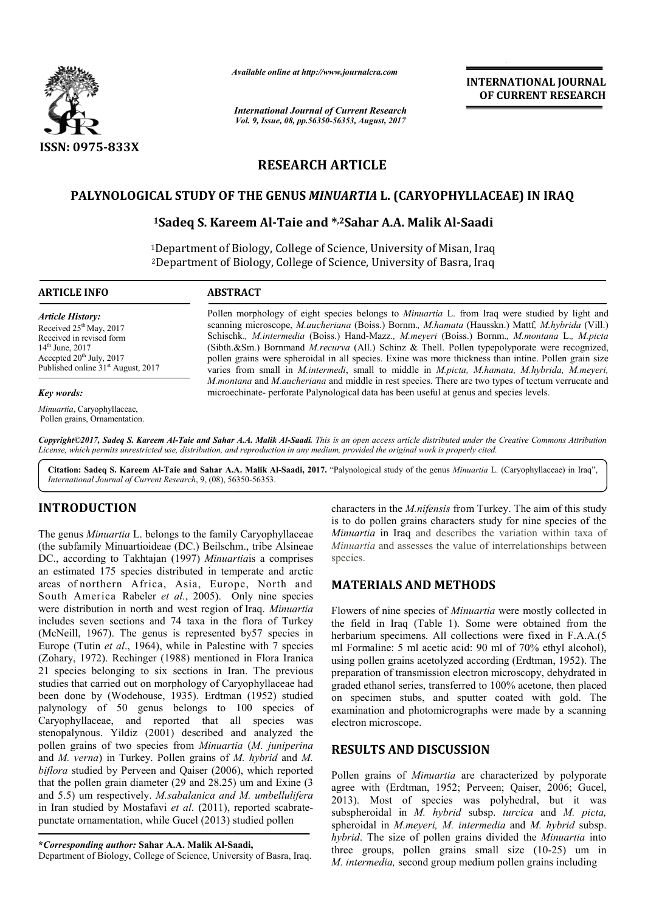

*Available online at http://www.journal http://www.journalcra.com*

*International Journal of Current Research Vol. 9, Issue, 08, pp.56350-56353, August, 2017*

**INTERNATIONAL JOURNAL OF CURRENT RESEARCH** 

# **RESEARCH ARTICLE**

# **PALYNOLOGICAL STUDY OF THE GENUS**  *MINUARTIA* **L. (CARYOPHYLLACEAE) IN IRAQ**

## **1Sadeq S. Kareem Al Al-Taie and \*,2Sahar A.A. Malik Al-Saadi Saadi**

<sup>1</sup>Department of Biology, College of Science, University of Misan, Iraq <sup>2</sup>Department of Biology, College of Science, University of Basra, Iraq

**ARTICLE INFO ABSTRACT**

*Article History:* Received  $25<sup>th</sup>$  May, 2017 Received in revised form 14<sup>th</sup> June, 2017 Accepted  $20<sup>th</sup>$  July,  $2017$ Published online 31<sup>st</sup> August, 2017

#### *Key words:*

*Minuartia*, Caryophyllaceae, Pollen grains, Ornamentation. Pollen morphology of eight species belongs to *Minuartia* L. from Iraq were studied by light and scanning microscope, *M.aucheriana* (Boiss.) Bornm.*, M.hamata* (Hausskn.) Mattf*, M.hybrida* (Vill.) Schischk. *, M.intermedia* (Boiss.) Hand-Mazz.*, M.meyeri* (Boiss.) Bornm.*, M.montana* L.*, M.picta* (Sibth.&Sm.) Bornmand *M.recurva* (All.) Schinz & Thell. Pollen typepolyporate were recognized, (Sibth.&Sm.) Bornmand *M.recurva* (All.) Schinz & Thell. Pollen typepolyporate were recognized, pollen grain size pollen grain size varies from small in *M.intermedi*, small to middle in *M.picta M.picta, M.hamata, M.hybrida, M.meyeri, M.montana* and *M.aucheriana* and middle in rest species. There are two types of tectum verrucate and microechinate- perforate Palynological data has been useful at genus and species levels. microechinate microechinate- perforate Palynological data has been useful at genus and species levels

Copyright©2017, Sadeq S. Kareem Al-Taie and Sahar A.A. Malik Al-Saadi. This is an open access article distributed under the Creative Commons Attribution *License, which permits unrestricted use, distribution, and reproduction in any medium, provided the original work is properly cited. use, in medium, cited.*

Citation: Sadeq S. Kareem Al-Taie and Sahar A.A. Malik Al-Saadi, 2017. "Palynological study of the genus *Minuartia L.* (Caryophyllaceae) in Iraq", *International Journal of Current Research*, 9, (08), 56350 56350-56353.

# **INTRODUCTION**

The genus *Minuartia* L. belongs to the family Caryophyllaceae (the subfamily Minuartioideae (DC.) Beilschm., tribe Alsineae DC., according to Takhtajan (1997) Minuartiais a comprises an estimated 175 species distributed in temperate and arctic areas of northern Africa, Asia, Europe, North and South America Rabeler *et al.*, 2005). Only nine species were distribution in north and west region of Iraq. *Minuartia* includes seven sections and 74 taxa in the flora of Turkey (McNeill, 1967). The genus is represented by57 species in Europe (Tutin *et al*., 1964), while in Palestine with 7 species (Zohary, 1972). Rechinger (1988) mentioned in Flora Iranica 21 species belonging to six sections in Iran. The previous studies that carried out on morphology of Caryophyllaceae had been done by (Wodehouse, 1935). Erdtman (1952) studied palynology of 50 genus belongs to 100 species of Caryophyllaceae, and reported that all species was stenopalynous. Yildiz (2001) described and analyzed the pollen grains of two species from *Minuartia*  (*M. juniperina* and *M. verna*) in Turkey. Pollen grains of *M. hybrid* and *M. biflora* studied by Perveen and Qaiser (2006), which reported that the pollen grain diameter (29 and 28.25) um and Exine (3 and 5.5) um respectively. *M.sabalanica and M. umbellulifera* in Iran studied by Mostafavi *et al*. (2011), reported scabratepunctate ornamentation, while Gucel (2013) studied pollen

Department of Biology, College of Science, University of Basra, Iraq.

characters in the *M.nifensis* from Turkey. The aim of this study is to do pollen grains characters study for nine species of the *Minuartia* in Iraq and describes the variation within taxa of *Minuartia* and assesses the value of interrelationships between species. to do pollen grains characters study for nine species of the *inuartia* in Iraq and describes the variation within taxa of *inuartia* and assesses the value of interrelationships between

## **MATERIALS AND METHODS METHODS**

Flowers of nine species of *Minuartia* were mostly collected in the field in Iraq (Table 1). Some were obtained from the herbarium specimens. All collections were fixed in F.A.A.(5) ml Formaline: 5 ml acetic acid: 90 ml of 70% ethyl alcohol), using pollen grains acetolyzed according (Erdtman, 1952). preparation of transmission electron microscopy, dehydrated in graded ethanol series, transferred to 100% acetone, then placed on specimen stubs, and sputter coated with gold. The examination and photomicrographs were made by a scanning electron microscope. barium specimens. All collections were fixed in F.A.A.(5<br>Formaline: 5 ml acetic acid: 90 ml of 70% ethyl alcohol),<br>ng pollen grains acetolyzed according (Erdtman, 1952). The

## **RESULTS AND DISCUSSION**

Pollen grains of *Minuartia* are characterized by polyporate agree with (Erdtman, 1952; Perveen; Qaiser, 2006; Gucel, 2013). Most of species was polyhedral, but it was 2013). Most of species was polyhedral, but it was subspheroidal in *M. hybrid* subsp. *turcica* and *M. picta*, spheroidal in *M.meyeri, M. intermedia* and *M. hybrid* subsp. hybrid. The size of pollen grains divided the *Minuartia* into three groups, pollen grains small size  $(10-25)$  um in M. intermedia, second group medium pollen grains including

**<sup>\*</sup>***Corresponding author:* **Sahar A.A. Malik Al-Saadi, Saadi,**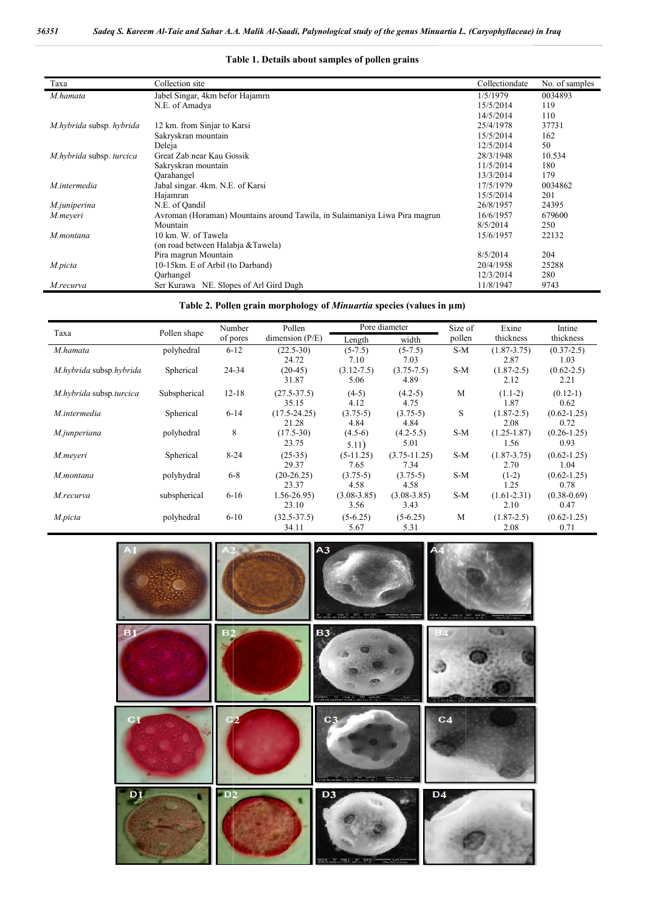| Taxa                     | Collection site                                                            | Collectiondate | No. of samples |
|--------------------------|----------------------------------------------------------------------------|----------------|----------------|
| M.hamata                 | Jabel Singar, 4km befor Hajamrn                                            | 1/5/1979       | 0034893        |
|                          | N.E. of Amadya                                                             | 15/5/2014      | 119            |
|                          |                                                                            | 14/5/2014      | 110            |
| M.hybrida subsp. hybrida | 12 km. from Sinjar to Karsi                                                | 25/4/1978      | 37731          |
|                          | Sakryskran mountain                                                        | 15/5/2014      | 162            |
|                          | Deleja                                                                     | 12/5/2014      | 50             |
| M.hybrida subsp. turcica | Great Zab near Kau Gossik                                                  | 28/3/1948      | 10.534         |
|                          | Sakryskran mountain                                                        | 11/5/2014      | 180            |
|                          | Qarahangel                                                                 | 13/3/2014      | 179            |
| M.intermedia             | Jabal singar. 4km. N.E. of Karsi                                           | 17/5/1979      | 0034862        |
|                          | Hajamran                                                                   | 15/5/2014      | 201            |
| M.juniperina             | N.E. of Qandil                                                             | 26/8/1957      | 24395          |
| M.meyeri                 | Avroman (Horaman) Mountains around Tawila, in Sulaimaniya Liwa Pira magrun | 16/6/1957      | 679600         |
|                          | Mountain                                                                   | 8/5/2014       | 250            |
| M.montana                | 10 km. W. of Tawela                                                        | 15/6/1957      | 22132          |
|                          | (on road between Halabja & Tawela)                                         |                |                |
|                          | Pira magrun Mountain                                                       | 8/5/2014       | 204            |
| M.picta                  | 10-15km. E of Arbil (to Darband)                                           | 20/4/1958      | 25288          |
|                          | Qarhangel                                                                  | 12/3/2014      | 280            |
| M.recurva                | Ser Kurawa NE. Slopes of Arl Gird Dagh                                     | 11/8/1947      | 9743           |

#### **Table 1. Details about samples of pollen grains**

**Table 2. Pollen grain morphology of**  *Minuartia* **species (values in μm)**

| Taxa                    | Pollen shape | Number<br>of pores | Pollen<br>dimension $(P/E)$ | Pore diameter   |                  | Size of | Exine           | Intine          |
|-------------------------|--------------|--------------------|-----------------------------|-----------------|------------------|---------|-----------------|-----------------|
|                         |              |                    |                             | Length          | width            | pollen  | thickness       | thickness       |
| M.hamata                | polyhedral   | $6 - 12$           | $(22.5-30)$                 | $(5-7.5)$       | $(5-7.5)$        | S-M     | $(1.87 - 3.75)$ | $(0.37-2.5)$    |
|                         |              |                    | 24.72                       | 7.10            | 7.03             |         | 2.87            | 1.03            |
| M.hybrida subsp.hybrida | Spherical    | 24-34              | $(20-45)$                   | $(3.12 - 7.5)$  | $(3.75 - 7.5)$   | S-M     | $(1.87-2.5)$    | $(0.62 - 2.5)$  |
|                         |              |                    | 31.87                       | 5.06            | 4.89             |         | 2.12            | 2.21            |
| M.hybrida subsp.turcica | Subspherical | $12 - 18$          | $(27.5 - 37.5)$             | $(4-5)$         | $(4.2-5)$        | M       | $(1.1-2)$       | $(0.12-1)$      |
|                         |              |                    | 35.15                       | 4.12            | 4.75             |         | 1.87            | 0.62            |
| M.intermedia            | Spherical    | $6 - 14$           | $(17.5 - 24.25)$            | $(3.75-5)$      | $(3.75-5)$       | S       | $(1.87-2.5)$    | $(0.62 - 1.25)$ |
|                         |              |                    | 21.28                       | 4.84            | 4.84             |         | 2.08            | 0.72            |
| M.junperiana            | polyhedral   | 8                  | $(17.5-30)$                 | $(4.5-6)$       | $(4.2 - 5.5)$    | S-M     | $(1.25 - 1.87)$ | $(0.26 - 1.25)$ |
|                         |              |                    | 23.75                       | 5.11)           | 5.01             |         | 1.56            | 0.93            |
| M.meveri                | Spherical    | $8 - 24$           | $(25-35)$                   | $(5-11.25)$     | $(3.75 - 11.25)$ | $S-M$   | $(1.87 - 3.75)$ | $(0.62 - 1.25)$ |
|                         |              |                    | 29.37                       | 7.65            | 7.34             |         | 2.70            | 1.04            |
| M.montana               | polyhydral   | $6-8$              | $(20-26.25)$                | $(3.75-5)$      | $(3.75-5)$       | S-M     | $(1-2)$         | $(0.62 - 1.25)$ |
|                         |              |                    | 23.37                       | 4.58            | 4.58             |         | 1.25            | 0.78            |
| M.recurva               | subspherical | $6 - 16$           | $1.56 - 26.95$              | $(3.08 - 3.85)$ | $(3.08 - 3.85)$  | S-M     | $(1.61 - 2.31)$ | $(0.38 - 0.69)$ |
|                         |              |                    | 23.10                       | 3.56            | 3.43             |         | 2.10            | 0.47            |
| M.picta                 | polyhedral   | $6 - 10$           | $(32.5 - 37.5)$             | $(5-6.25)$      | $(5-6.25)$       | M       | $(1.87-2.5)$    | $(0.62 - 1.25)$ |
|                         |              |                    | 34.11                       | 5.67            | 5.31             |         | 2.08            | 0.71            |

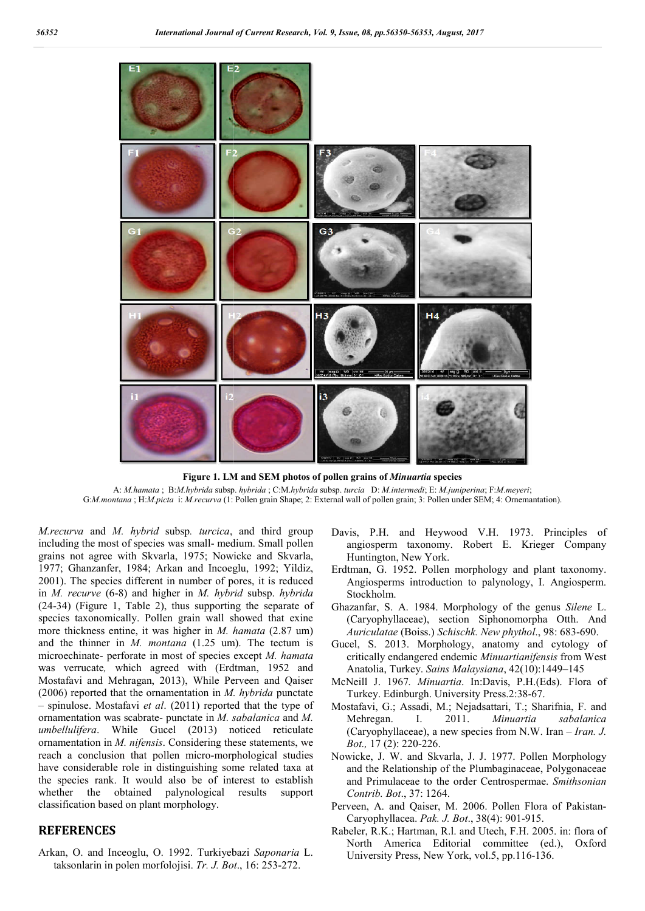

**Figure 1. LM and SEM photos of pollen grains of**  *Minuartia* **species** A: *M.hamata* ; B:*M.hybrida* subsp. *hybrida* ; C:M.*hybrida* subsp. *turcia* D: *M.intermedi*; E: *M.juniperina* ; F:*M.meyeri*; G:*M.montana*; H:*M.picta* i: *M.recurva* (1: Pollen grain Shape; 2: External wall of pollen grain; 3: Pollen under SEM; 4: Ornemantation).

*M.recurva* and *M. hybrid* subsp*. turcica*, and third group including the most of species was small- medium. Small pollen grains not agree with Skvarla, 1975; Nowicke and Skvarla, 1977; Ghanzanfer, 1984; Arkan and Incoeglu, 1992; Yildiz, 2001). The species different in number of pores, it is reduced in *M. recurve* (6-8) and higher in *M. hybrid*  subsp. *hybrida*  (24-34) (Figure 1, Table 2), thus supporting the separate of species taxonomically. Pollen grain wall showed that exine more thickness entine, it was higher in *M. hamata* (2.87 um) and the thinner in *M. montana* (1.25 um). The tectum is microechinate- perforate in most of species except M. hamata was verrucate, which agreed with (Erdtman, 1952 and Mostafavi and Mehragan, 2013), While Perveen and Qaiser (2006) reported that the ornamentation in *M. hybrida* punctate – spinulose. Mostafavi *et al*. (2011) reported that the type of ornamentation was scabrate- punctate in *M. sabalanica*  and *M. umbellulifera*. While Gucel (2013) noticed reticulate ornamentation in *M. nifensis*. Considering these statements, we reach a conclusion that pollen micro-morphological studies have considerable role in distinguishing some related taxa at the species rank. It would also be of interest to establish whether the obtained palynological results support classification based on plant morphology. conclusion that pollen micro-morphological studies<br>siderable role in distinguishing some related taxa at<br>ies rank. It would also be of interest to establish<br>the obtained palynological results support<br>tion based on plant mo

#### **REFERENCES**

Arkan, O. and Inceoglu, O. 1992. Turkiyebazi Saponaria L. taksonlarin in polen morfolojisi. *Tr. J. Bot* ., 16: 253-272.

- Davis, P.H. and Heywood V.H. 1973. Principles of angiosperm taxonomy. Robert E. Krieger Company Huntington, New York.
- Erdtman, G. 1952. Pollen morphology and plant taxonomy. Angiosperms introduction to palynology, I. Angiosperm. Stockholm. angiosperm taxonomy. Robert E. Krieger Company<br>Huntington, New York.<br>Erdtman, G. 1952. Pollen morphology and plant taxonomy.<br>Angiosperms introduction to palynology, I. Angiosperm.<br>Stockholm.<br>Ghazanfar, S. A. 1984. Morpholo
- (Caryophyllaceae), section Siphonomorpha Otth. And *Auriculatae* (Boiss.) *Schischk. New phythol*., 98: 683-690.
- Gucel, S. 2013. Morphology, anatomy and cytology of critically endangered endemic *Minuartianifensis* from West Anatolia, Turkey. *Sains Malaysiana* , 42(10):1449–145
- McNeill J. 1967*. Minuartia*. In:Davis, P.H.(Eds). Flora of Turkey. Edinburgh. University Press.2:38-67.
- Mostafavi, G.; Assadi, M.; Nejadsattari, T.; Sharifnia, F. and<br>Mehregan. I. 2011. *Minuartia sabalanica* Mehregan. I. 2011. (Caryophyllaceae), a new species from N.W. Iran – *Iran. J. Bot.,* 17 (2): 220-226.
- Nowicke, J. W. and Skvarla, J. J. 1977. Pollen Morphology and the Relationship of the Plumbaginaceae, Polygonaceae and the Relationship of the Plumbaginaceae, Polygonaceae and Primulaceae to the order Centrospermae. *Smithsonian Contrib. Bot*., 37: 1264.
- Perveen, A. and Qaiser, M. 2006. Pollen Flora of Pakistan-Caryophyllacea. Pak. J. Bot., 38(4): 901-915.
- Rabeler, R.K.; Hartman, R.l. and Utech, F.H. 2005. in: flora of North America Editorial committee (ed.), Oxford University Press, New York, vol.5, pp.116-136. University Press, New York, vol.5, pp.116-136.